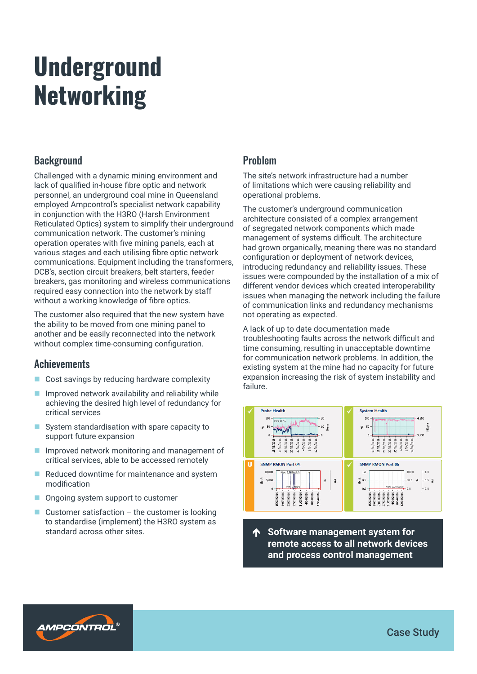# **Underground** Networking

## **Background**

Challenged with a dynamic mining environment and lack of qualified in-house fibre optic and network personnel, an underground coal mine in Queensland employed Ampcontrol's specialist network capability in conjunction with the H3RO (Harsh Environment Reticulated Optics) system to simplify their underground communication network. The customer's mining operation operates with five mining panels, each at various stages and each utilising fibre optic network communications. Equipment including the transformers, DCB's, section circuit breakers, belt starters, feeder breakers, gas monitoring and wireless communications required easy connection into the network by staff without a working knowledge of fibre optics.

The customer also required that the new system have the ability to be moved from one mining panel to another and be easily reconnected into the network without complex time-consuming configuration.

#### **Achievements**

- Cost savings by reducing hardware complexity
- $\blacksquare$  Improved network availability and reliability while achieving the desired high level of redundancy for critical services
- System standardisation with spare capacity to support future expansion
- **IMPROVED NET MONET IN MODE IMPROVED IN THE IMPROVED IN THE IMPROVEMENT IN THE IMPROVEMENT IN THE IMPROVEMENT IN THE IMPROVEMENT IN THE IMPROVEMENT IN THE IMPROVEMENT IN THE IMPROVEMENT IN THE IMPROVEMENT IN THE IMPROVEMEN** critical services, able to be accessed remotely
- Reduced downtime for maintenance and system modification
- Ongoing system support to customer
- Customer satisfaction  $-$  the customer is looking to standardise (implement) the H3RO system as standard across other sites. **The standard across other sites. The Software management system for**

# Problem

The site's network infrastructure had a number of limitations which were causing reliability and operational problems.

The customer's underground communication architecture consisted of a complex arrangement of segregated network components which made management of systems difficult. The architecture had grown organically, meaning there was no standard configuration or deployment of network devices, introducing redundancy and reliability issues. These issues were compounded by the installation of a mix of different vendor devices which created interoperability issues when managing the network including the failure of communication links and redundancy mechanisms not operating as expected.

A lack of up to date documentation made troubleshooting faults across the network difficult and time consuming, resulting in unacceptable downtime for communication network problems. In addition, the existing system at the mine had no capacity for future expansion increasing the risk of system instability and failure.



**remote access to all network devices and process control management**



Case Study